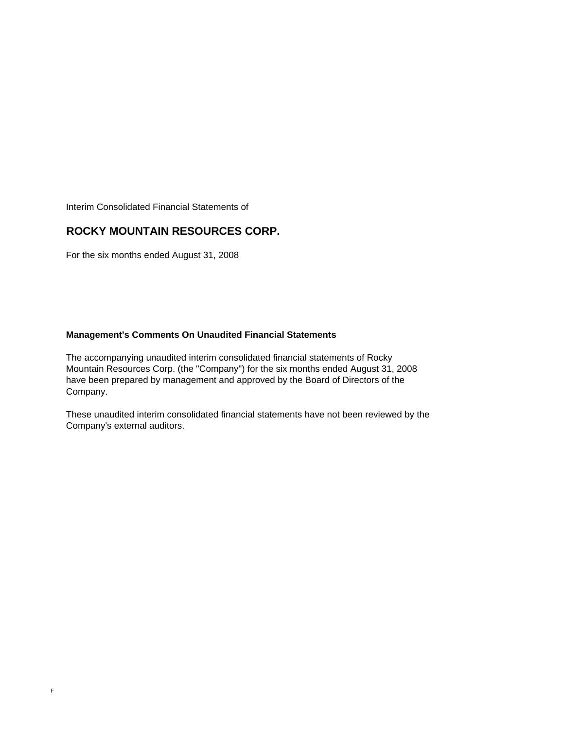Interim Consolidated Financial Statements of

# **ROCKY MOUNTAIN RESOURCES CORP.**

For the six months ended August 31, 2008

# **Management's Comments On Unaudited Financial Statements**

The accompanying unaudited interim consolidated financial statements of Rocky Mountain Resources Corp. (the "Company") for the six months ended August 31, 2008 have been prepared by management and approved by the Board of Directors of the Company.

These unaudited interim consolidated financial statements have not been reviewed by the Company's external auditors.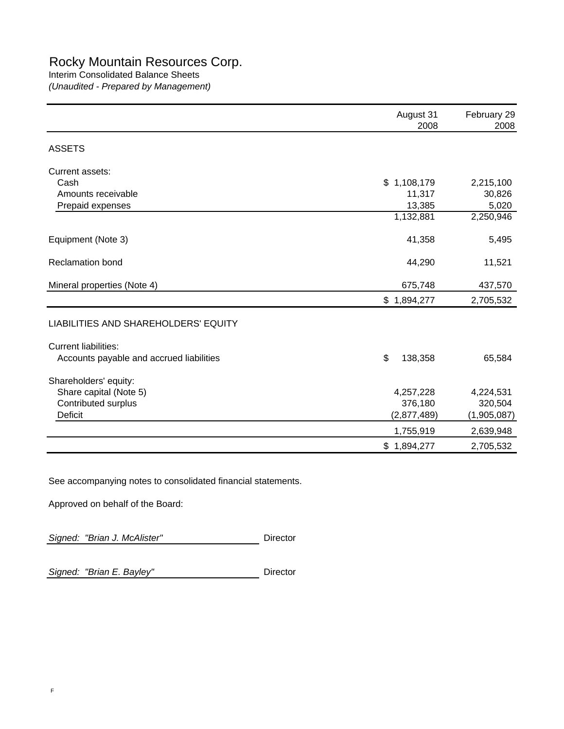# Rocky Mountain Resources Corp.

# Interim Consolidated Balance Sheets

*(Unaudited - Prepared by Management)*

|                                          | August 31<br>2008 | February 29<br>2008 |
|------------------------------------------|-------------------|---------------------|
| <b>ASSETS</b>                            |                   |                     |
| Current assets:                          |                   |                     |
| Cash                                     | \$1,108,179       | 2,215,100           |
| Amounts receivable                       | 11,317            | 30,826              |
| Prepaid expenses                         | 13,385            | 5,020               |
|                                          | 1,132,881         | 2,250,946           |
| Equipment (Note 3)                       | 41,358            | 5,495               |
| <b>Reclamation bond</b>                  | 44,290            | 11,521              |
| Mineral properties (Note 4)              | 675,748           | 437,570             |
|                                          | \$1,894,277       | 2,705,532           |
| LIABILITIES AND SHAREHOLDERS' EQUITY     |                   |                     |
| <b>Current liabilities:</b>              |                   |                     |
| Accounts payable and accrued liabilities | \$<br>138,358     | 65,584              |
| Shareholders' equity:                    |                   |                     |
| Share capital (Note 5)                   | 4,257,228         | 4,224,531           |
| Contributed surplus                      | 376,180           | 320,504             |
| <b>Deficit</b>                           | (2,877,489)       | (1,905,087)         |
|                                          | 1,755,919         | 2,639,948           |
|                                          | \$1,894,277       | 2,705,532           |

See accompanying notes to consolidated financial statements.

Approved on behalf of the Board:

Signed: "Brian J. McAlister" Director

Signed: "Brian E. Bayley" **Director**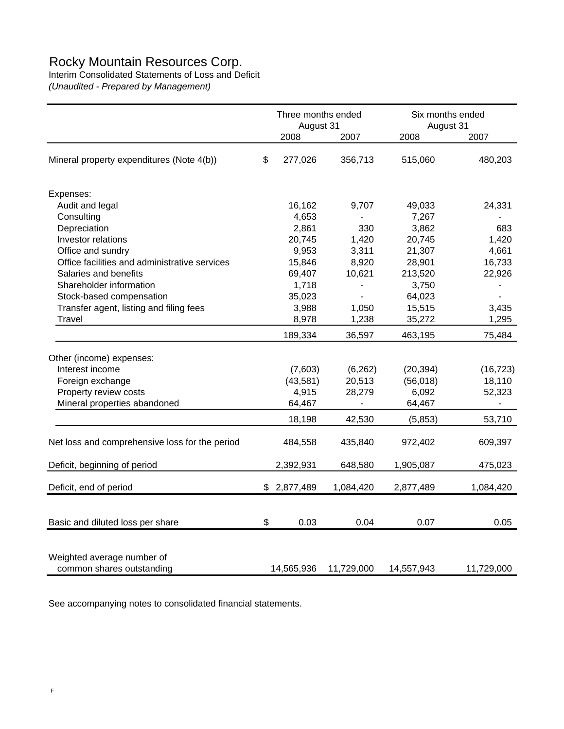# Rocky Mountain Resources Corp.

Interim Consolidated Statements of Loss and Deficit

*(Unaudited - Prepared by Management)*

|                                                         | Three months ended<br>August 31 |            | Six months ended<br>August 31 |                          |
|---------------------------------------------------------|---------------------------------|------------|-------------------------------|--------------------------|
|                                                         | 2008                            | 2007       | 2008                          | 2007                     |
| Mineral property expenditures (Note 4(b))               | \$<br>277,026                   | 356,713    | 515,060                       | 480,203                  |
| Expenses:                                               |                                 |            |                               |                          |
| Audit and legal                                         | 16,162                          | 9,707      | 49,033                        | 24,331                   |
| Consulting                                              | 4,653                           |            | 7,267                         |                          |
| Depreciation                                            | 2,861                           | 330        | 3,862                         | 683                      |
| Investor relations                                      | 20,745                          | 1,420      | 20,745                        | 1,420                    |
| Office and sundry                                       | 9,953                           | 3,311      | 21,307                        | 4,661                    |
| Office facilities and administrative services           | 15,846                          | 8,920      | 28,901                        | 16,733                   |
| Salaries and benefits                                   | 69,407                          | 10,621     | 213,520                       | 22,926                   |
| Shareholder information                                 | 1,718                           |            | 3,750                         |                          |
| Stock-based compensation                                | 35,023                          | L.         | 64,023                        | $\overline{\phantom{a}}$ |
| Transfer agent, listing and filing fees                 | 3,988                           | 1,050      | 15,515                        | 3,435                    |
| Travel                                                  | 8,978                           | 1,238      | 35,272                        | 1,295                    |
|                                                         | 189,334                         | 36,597     | 463,195                       | 75,484                   |
| Other (income) expenses:                                |                                 |            |                               |                          |
| Interest income                                         | (7,603)                         | (6, 262)   | (20, 394)                     | (16, 723)                |
| Foreign exchange                                        | (43,581)                        | 20,513     | (56, 018)                     | 18,110                   |
| Property review costs                                   | 4,915                           | 28,279     | 6,092                         | 52,323                   |
| Mineral properties abandoned                            | 64,467                          |            | 64,467                        |                          |
|                                                         |                                 |            |                               |                          |
|                                                         | 18,198                          | 42,530     | (5, 853)                      | 53,710                   |
| Net loss and comprehensive loss for the period          | 484,558                         | 435,840    | 972,402                       | 609,397                  |
| Deficit, beginning of period                            | 2,392,931                       | 648,580    | 1,905,087                     | 475,023                  |
| Deficit, end of period                                  | \$2,877,489                     | 1,084,420  | 2,877,489                     | 1,084,420                |
|                                                         |                                 |            |                               |                          |
| Basic and diluted loss per share                        | \$<br>0.03                      | 0.04       | 0.07                          | 0.05                     |
| Weighted average number of<br>common shares outstanding | 14,565,936                      | 11,729,000 | 14,557,943                    | 11,729,000               |

See accompanying notes to consolidated financial statements.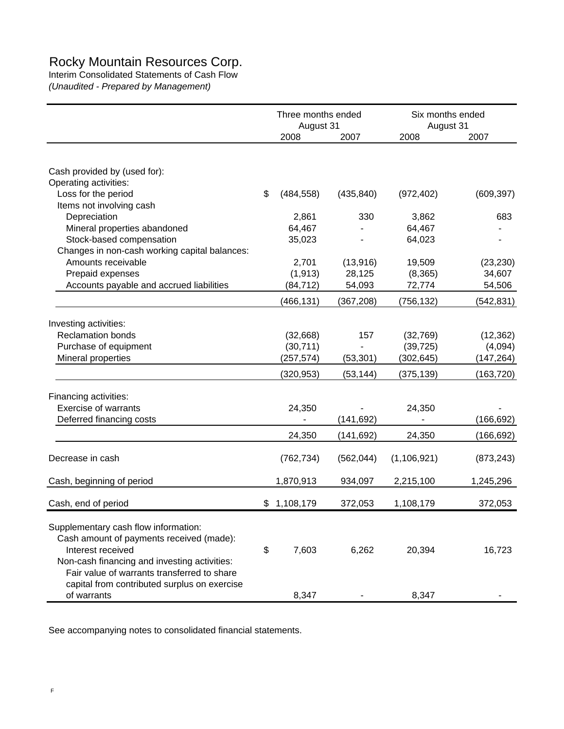# Rocky Mountain Resources Corp.

Interim Consolidated Statements of Cash Flow

*(Unaudited - Prepared by Management)*

|                                                               | Three months ended<br>August 31 |             | Six months ended<br>August 31 |               |            |
|---------------------------------------------------------------|---------------------------------|-------------|-------------------------------|---------------|------------|
|                                                               |                                 | 2008        | 2007                          | 2008          | 2007       |
|                                                               |                                 |             |                               |               |            |
| Cash provided by (used for):                                  |                                 |             |                               |               |            |
| Operating activities:                                         |                                 |             |                               |               |            |
| Loss for the period                                           | \$                              | (484, 558)  | (435, 840)                    | (972, 402)    | (609, 397) |
| Items not involving cash                                      |                                 |             |                               |               |            |
| Depreciation                                                  |                                 | 2,861       | 330                           | 3,862         | 683        |
| Mineral properties abandoned                                  |                                 | 64,467      |                               | 64,467        |            |
| Stock-based compensation                                      |                                 | 35,023      |                               | 64,023        |            |
| Changes in non-cash working capital balances:                 |                                 |             |                               |               |            |
| Amounts receivable                                            |                                 | 2,701       | (13, 916)                     | 19,509        | (23, 230)  |
| Prepaid expenses                                              |                                 | (1, 913)    | 28,125                        | (8, 365)      | 34,607     |
| Accounts payable and accrued liabilities                      |                                 | (84, 712)   | 54,093                        | 72,774        | 54,506     |
|                                                               |                                 | (466, 131)  | (367, 208)                    | (756, 132)    | (542, 831) |
| Investing activities:                                         |                                 |             |                               |               |            |
| <b>Reclamation bonds</b>                                      |                                 | (32,668)    | 157                           | (32,769)      | (12, 362)  |
| Purchase of equipment                                         |                                 | (30, 711)   |                               | (39, 725)     | (4,094)    |
| Mineral properties                                            |                                 | (257, 574)  | (53, 301)                     | (302, 645)    | (147, 264) |
|                                                               |                                 | (320,953)   | (53, 144)                     | (375, 139)    | (163, 720) |
| Financing activities:                                         |                                 |             |                               |               |            |
| <b>Exercise of warrants</b>                                   |                                 | 24,350      |                               | 24,350        |            |
| Deferred financing costs                                      |                                 |             | (141, 692)                    |               | (166, 692) |
|                                                               |                                 | 24,350      | (141, 692)                    | 24,350        | (166, 692) |
|                                                               |                                 |             |                               |               |            |
| Decrease in cash                                              |                                 | (762, 734)  | (562, 044)                    | (1, 106, 921) | (873, 243) |
| Cash, beginning of period                                     |                                 | 1,870,913   | 934,097                       | 2,215,100     | 1,245,296  |
| Cash, end of period                                           |                                 | \$1,108,179 | 372,053                       | 1,108,179     | 372,053    |
|                                                               |                                 |             |                               |               |            |
| Supplementary cash flow information:                          |                                 |             |                               |               |            |
| Cash amount of payments received (made):<br>Interest received | \$                              | 7,603       | 6,262                         | 20,394        | 16,723     |
| Non-cash financing and investing activities:                  |                                 |             |                               |               |            |
| Fair value of warrants transferred to share                   |                                 |             |                               |               |            |
| capital from contributed surplus on exercise                  |                                 |             |                               |               |            |
| of warrants                                                   |                                 | 8,347       |                               | 8,347         |            |

See accompanying notes to consolidated financial statements.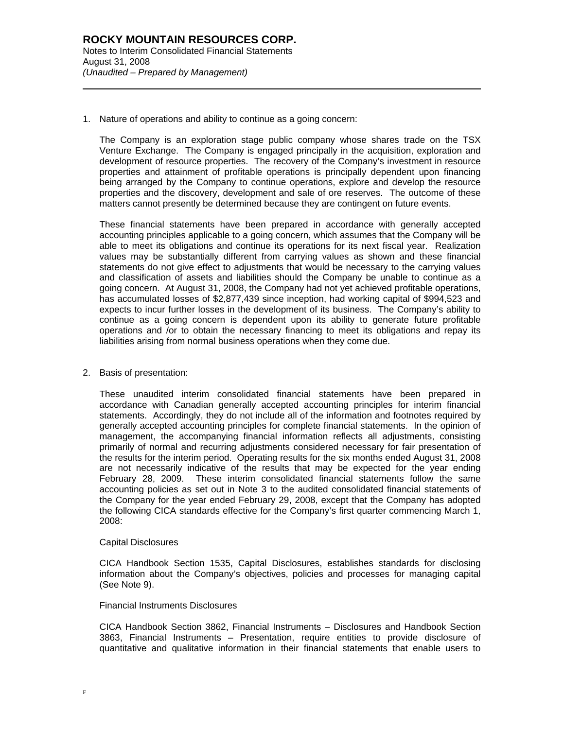1. Nature of operations and ability to continue as a going concern:

The Company is an exploration stage public company whose shares trade on the TSX Venture Exchange. The Company is engaged principally in the acquisition, exploration and development of resource properties. The recovery of the Company's investment in resource properties and attainment of profitable operations is principally dependent upon financing being arranged by the Company to continue operations, explore and develop the resource properties and the discovery, development and sale of ore reserves. The outcome of these matters cannot presently be determined because they are contingent on future events.

These financial statements have been prepared in accordance with generally accepted accounting principles applicable to a going concern, which assumes that the Company will be able to meet its obligations and continue its operations for its next fiscal year. Realization values may be substantially different from carrying values as shown and these financial statements do not give effect to adjustments that would be necessary to the carrying values and classification of assets and liabilities should the Company be unable to continue as a going concern. At August 31, 2008, the Company had not yet achieved profitable operations, has accumulated losses of \$2,877,439 since inception, had working capital of \$994,523 and expects to incur further losses in the development of its business. The Company's ability to continue as a going concern is dependent upon its ability to generate future profitable operations and /or to obtain the necessary financing to meet its obligations and repay its liabilities arising from normal business operations when they come due.

2. Basis of presentation:

l

These unaudited interim consolidated financial statements have been prepared in accordance with Canadian generally accepted accounting principles for interim financial statements. Accordingly, they do not include all of the information and footnotes required by generally accepted accounting principles for complete financial statements. In the opinion of management, the accompanying financial information reflects all adjustments, consisting primarily of normal and recurring adjustments considered necessary for fair presentation of the results for the interim period. Operating results for the six months ended August 31, 2008 are not necessarily indicative of the results that may be expected for the year ending February 28, 2009. These interim consolidated financial statements follow the same accounting policies as set out in Note 3 to the audited consolidated financial statements of the Company for the year ended February 29, 2008, except that the Company has adopted the following CICA standards effective for the Company's first quarter commencing March 1, 2008:

#### Capital Disclosures

CICA Handbook Section 1535, Capital Disclosures, establishes standards for disclosing information about the Company's objectives, policies and processes for managing capital (See Note 9).

#### Financial Instruments Disclosures

CICA Handbook Section 3862, Financial Instruments – Disclosures and Handbook Section 3863, Financial Instruments – Presentation, require entities to provide disclosure of quantitative and qualitative information in their financial statements that enable users to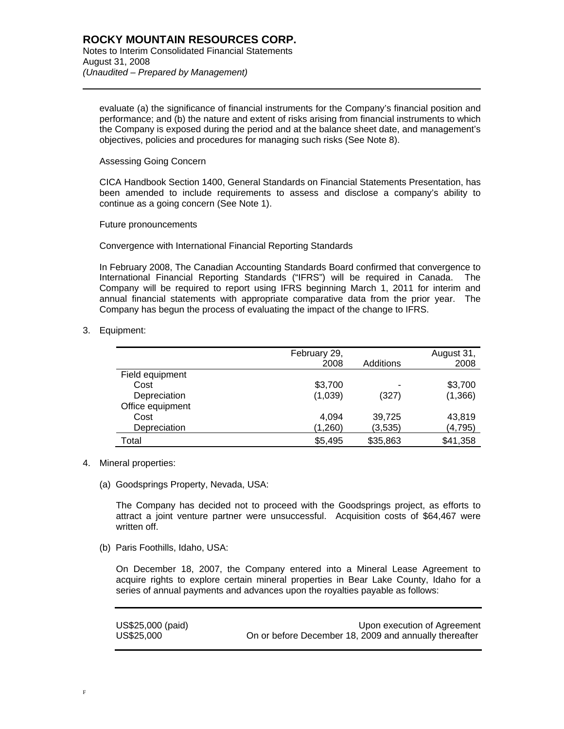evaluate (a) the significance of financial instruments for the Company's financial position and performance; and (b) the nature and extent of risks arising from financial instruments to which the Company is exposed during the period and at the balance sheet date, and management's objectives, policies and procedures for managing such risks (See Note 8).

#### Assessing Going Concern

CICA Handbook Section 1400, General Standards on Financial Statements Presentation, has been amended to include requirements to assess and disclose a company's ability to continue as a going concern (See Note 1).

Future pronouncements

Convergence with International Financial Reporting Standards

In February 2008, The Canadian Accounting Standards Board confirmed that convergence to International Financial Reporting Standards ("IFRS") will be required in Canada. The Company will be required to report using IFRS beginning March 1, 2011 for interim and annual financial statements with appropriate comparative data from the prior year. The Company has begun the process of evaluating the impact of the change to IFRS.

3. Equipment:

l

|                  | February 29, |           | August 31, |
|------------------|--------------|-----------|------------|
|                  | 2008         | Additions | 2008       |
| Field equipment  |              |           |            |
| Cost             | \$3,700      |           | \$3,700    |
| Depreciation     | (1,039)      | (327)     | (1,366)    |
| Office equipment |              |           |            |
| Cost             | 4,094        | 39,725    | 43,819     |
| Depreciation     | (1,260)      | (3,535)   | (4, 795)   |
| Total            | \$5,495      | \$35,863  | \$41,358   |

- 4. Mineral properties:
	- (a) Goodsprings Property, Nevada, USA:

The Company has decided not to proceed with the Goodsprings project, as efforts to attract a joint venture partner were unsuccessful. Acquisition costs of \$64,467 were written off.

(b) Paris Foothills, Idaho, USA:

On December 18, 2007, the Company entered into a Mineral Lease Agreement to acquire rights to explore certain mineral properties in Bear Lake County, Idaho for a series of annual payments and advances upon the royalties payable as follows:

| US\$25,000 (paid) | Upon execution of Agreement                            |
|-------------------|--------------------------------------------------------|
| US\$25,000        | On or before December 18, 2009 and annually thereafter |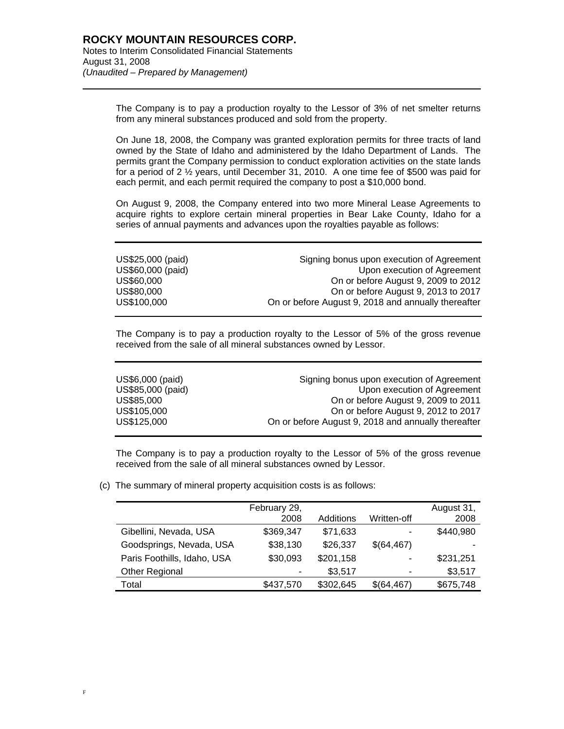l

The Company is to pay a production royalty to the Lessor of 3% of net smelter returns from any mineral substances produced and sold from the property.

On June 18, 2008, the Company was granted exploration permits for three tracts of land owned by the State of Idaho and administered by the Idaho Department of Lands. The permits grant the Company permission to conduct exploration activities on the state lands for a period of 2 ½ years, until December 31, 2010. A one time fee of \$500 was paid for each permit, and each permit required the company to post a \$10,000 bond.

On August 9, 2008, the Company entered into two more Mineral Lease Agreements to acquire rights to explore certain mineral properties in Bear Lake County, Idaho for a series of annual payments and advances upon the royalties payable as follows:

| US\$25,000 (paid) | Signing bonus upon execution of Agreement           |
|-------------------|-----------------------------------------------------|
| US\$60,000 (paid) | Upon execution of Agreement                         |
| US\$60.000        | On or before August 9, 2009 to 2012                 |
| US\$80,000        | On or before August 9, 2013 to 2017                 |
| US\$100,000       | On or before August 9, 2018 and annually thereafter |

The Company is to pay a production royalty to the Lessor of 5% of the gross revenue received from the sale of all mineral substances owned by Lessor.

| US\$6,000 (paid)  | Signing bonus upon execution of Agreement           |
|-------------------|-----------------------------------------------------|
| US\$85,000 (paid) | Upon execution of Agreement                         |
| US\$85,000        | On or before August 9, 2009 to 2011                 |
| US\$105,000       | On or before August 9, 2012 to 2017                 |
| US\$125,000       | On or before August 9, 2018 and annually thereafter |

The Company is to pay a production royalty to the Lessor of 5% of the gross revenue received from the sale of all mineral substances owned by Lessor.

(c) The summary of mineral property acquisition costs is as follows:

|                             | February 29, |           |             | August 31, |
|-----------------------------|--------------|-----------|-------------|------------|
|                             | 2008         | Additions | Written-off | 2008       |
| Gibellini, Nevada, USA      | \$369,347    | \$71,633  | -           | \$440,980  |
| Goodsprings, Nevada, USA    | \$38,130     | \$26,337  | \$(64,467)  |            |
| Paris Foothills, Idaho, USA | \$30,093     | \$201,158 | -           | \$231,251  |
| Other Regional              |              | \$3,517   | -           | \$3,517    |
| Total                       | \$437,570    | \$302,645 | \$(64,467)  | \$675,748  |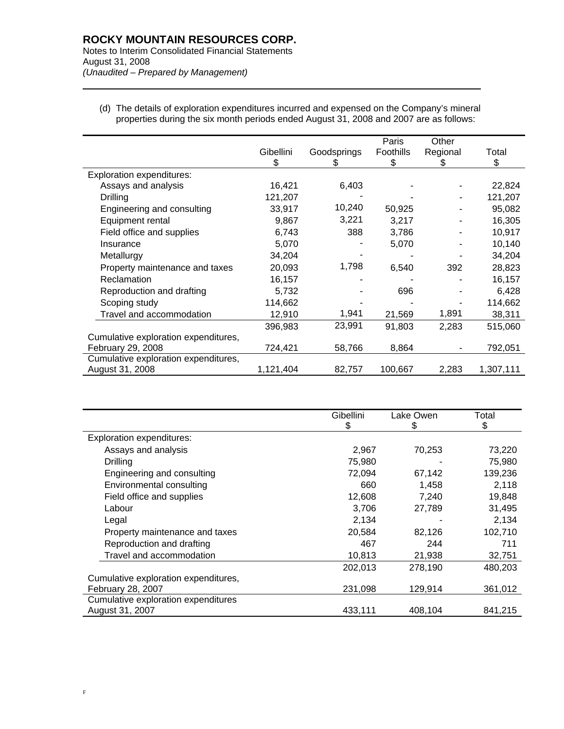# **ROCKY MOUNTAIN RESOURCES CORP.** Notes to Interim Consolidated Financial Statements August 31, 2008 *(Unaudited – Prepared by Management)*

l

(d) The details of exploration expenditures incurred and expensed on the Company's mineral properties during the six month periods ended August 31, 2008 and 2007 are as follows:

|                                      | Gibellini | Goodsprings | Paris<br><b>Foothills</b> | Other<br>Regional | Total     |
|--------------------------------------|-----------|-------------|---------------------------|-------------------|-----------|
|                                      | S         |             | S                         | ж.                | \$        |
| <b>Exploration expenditures:</b>     |           |             |                           |                   |           |
| Assays and analysis                  | 16,421    | 6,403       |                           |                   | 22,824    |
| Drilling                             | 121,207   |             |                           |                   | 121,207   |
| Engineering and consulting           | 33,917    | 10,240      | 50,925                    |                   | 95,082    |
| Equipment rental                     | 9,867     | 3,221       | 3,217                     |                   | 16,305    |
| Field office and supplies            | 6,743     | 388         | 3,786                     |                   | 10,917    |
| Insurance                            | 5,070     |             | 5,070                     |                   | 10,140    |
| Metallurgy                           | 34,204    |             |                           |                   | 34,204    |
| Property maintenance and taxes       | 20,093    | 1,798       | 6,540                     | 392               | 28,823    |
| Reclamation                          | 16,157    |             |                           |                   | 16,157    |
| Reproduction and drafting            | 5,732     |             | 696                       |                   | 6,428     |
| Scoping study                        | 114,662   |             |                           |                   | 114,662   |
| Travel and accommodation             | 12,910    | 1,941       | 21,569                    | 1,891             | 38,311    |
|                                      | 396,983   | 23,991      | 91,803                    | 2,283             | 515,060   |
| Cumulative exploration expenditures, |           |             |                           |                   |           |
| February 29, 2008                    | 724,421   | 58,766      | 8,864                     |                   | 792,051   |
| Cumulative exploration expenditures, |           |             |                           |                   |           |
| August 31, 2008                      | 1,121,404 | 82,757      | 100,667                   | 2,283             | 1,307,111 |

|                                      | Gibellini | Lake Owen | Total   |
|--------------------------------------|-----------|-----------|---------|
|                                      | \$        | \$        | \$      |
| <b>Exploration expenditures:</b>     |           |           |         |
| Assays and analysis                  | 2,967     | 70,253    | 73,220  |
| Drilling                             | 75,980    |           | 75,980  |
| Engineering and consulting           | 72,094    | 67,142    | 139,236 |
| Environmental consulting             | 660       | 1,458     | 2,118   |
| Field office and supplies            | 12,608    | 7,240     | 19,848  |
| Labour                               | 3,706     | 27,789    | 31,495  |
| Legal                                | 2,134     |           | 2,134   |
| Property maintenance and taxes       | 20,584    | 82,126    | 102,710 |
| Reproduction and drafting            | 467       | 244       | 711     |
| Travel and accommodation             | 10,813    | 21,938    | 32,751  |
|                                      | 202,013   | 278,190   | 480,203 |
| Cumulative exploration expenditures, |           |           |         |
| February 28, 2007                    | 231,098   | 129,914   | 361,012 |
| Cumulative exploration expenditures  |           |           |         |
| August 31, 2007                      | 433,111   | 408.104   | 841,215 |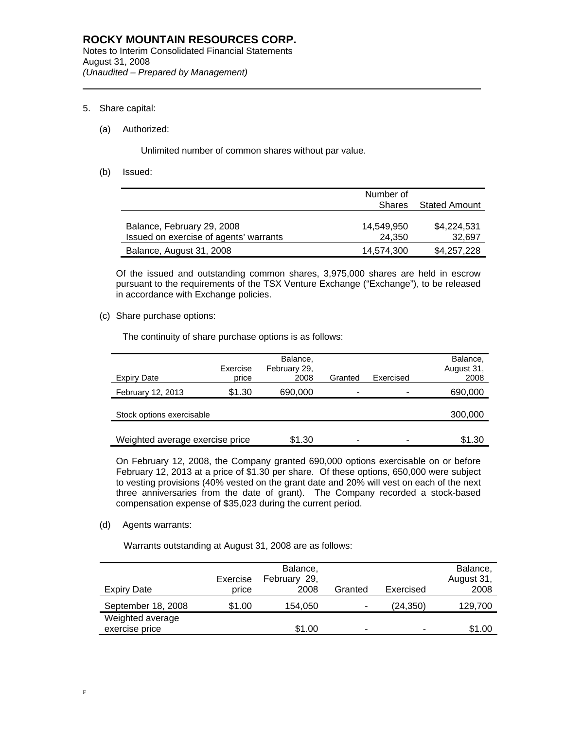## 5. Share capital:

l

#### (a) Authorized:

Unlimited number of common shares without par value.

(b) Issued:

|                                        | Number of     |                      |
|----------------------------------------|---------------|----------------------|
|                                        | <b>Shares</b> | <b>Stated Amount</b> |
|                                        |               |                      |
| Balance, February 29, 2008             | 14.549.950    | \$4,224,531          |
| Issued on exercise of agents' warrants | 24.350        | 32,697               |
| Balance, August 31, 2008               | 14,574,300    | \$4,257,228          |

Of the issued and outstanding common shares, 3,975,000 shares are held in escrow pursuant to the requirements of the TSX Venture Exchange ("Exchange"), to be released in accordance with Exchange policies.

(c) Share purchase options:

The continuity of share purchase options is as follows:

|                                 | Exercise<br>price | Balance,<br>February 29,<br>2008 | Granted | Exercised | Balance,<br>August 31, |
|---------------------------------|-------------------|----------------------------------|---------|-----------|------------------------|
| <b>Expiry Date</b>              |                   |                                  |         |           | 2008                   |
| February 12, 2013               | \$1.30            | 690,000                          | -       |           | 690,000                |
|                                 |                   |                                  |         |           |                        |
| Stock options exercisable       |                   |                                  |         |           | 300,000                |
|                                 |                   |                                  |         |           |                        |
| Weighted average exercise price |                   | \$1.30                           | -       | -         | \$1.30                 |

On February 12, 2008, the Company granted 690,000 options exercisable on or before February 12, 2013 at a price of \$1.30 per share. Of these options, 650,000 were subject to vesting provisions (40% vested on the grant date and 20% will vest on each of the next three anniversaries from the date of grant). The Company recorded a stock-based compensation expense of \$35,023 during the current period.

### (d) Agents warrants:

Warrants outstanding at August 31, 2008 are as follows:

| Expiry Date                        | Exercise<br>price | Balance,<br>February 29,<br>2008 | Granted | Exercised                | Balance,<br>August 31,<br>2008 |
|------------------------------------|-------------------|----------------------------------|---------|--------------------------|--------------------------------|
| September 18, 2008                 | \$1.00            | 154,050                          | -       | (24, 350)                | 129,700                        |
| Weighted average<br>exercise price |                   | \$1.00                           |         | $\overline{\phantom{0}}$ | \$1.00                         |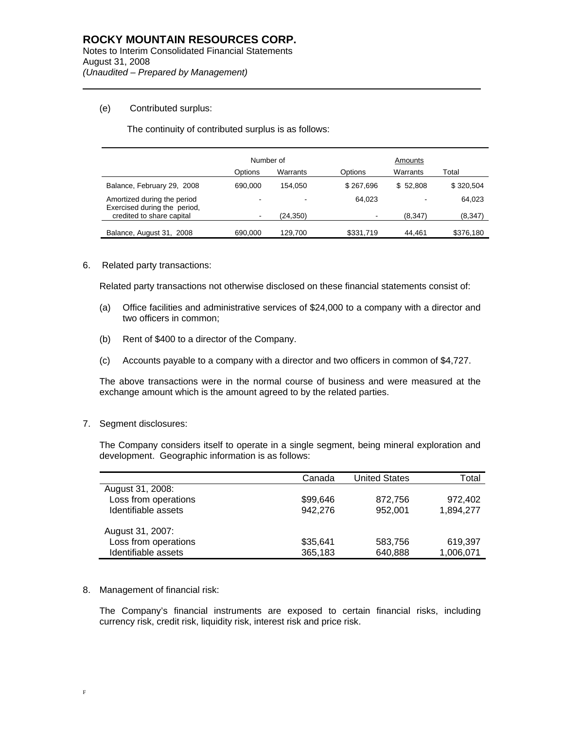# (e) Contributed surplus:

l

The continuity of contributed surplus is as follows:

|                                                             | Number of |           | Amounts   |          |           |
|-------------------------------------------------------------|-----------|-----------|-----------|----------|-----------|
|                                                             | Options   | Warrants  | Options   | Warrants | Total     |
| Balance, February 29, 2008                                  | 690.000   | 154.050   | \$267.696 | \$52.808 | \$320.504 |
| Amortized during the period<br>Exercised during the period, |           | -         | 64.023    |          | 64,023    |
| credited to share capital                                   |           | (24, 350) |           | (8.347)  | (8, 347)  |
| Balance, August 31, 2008                                    | 690,000   | 129.700   | \$331,719 | 44.461   | \$376,180 |

# 6. Related party transactions:

Related party transactions not otherwise disclosed on these financial statements consist of:

- (a) Office facilities and administrative services of \$24,000 to a company with a director and two officers in common;
- (b) Rent of \$400 to a director of the Company.
- (c) Accounts payable to a company with a director and two officers in common of \$4,727.

The above transactions were in the normal course of business and were measured at the exchange amount which is the amount agreed to by the related parties.

7. Segment disclosures:

The Company considers itself to operate in a single segment, being mineral exploration and development. Geographic information is as follows:

|                      | Canada   | <b>United States</b> | Total     |
|----------------------|----------|----------------------|-----------|
| August 31, 2008:     |          |                      |           |
| Loss from operations | \$99,646 | 872,756              | 972.402   |
| Identifiable assets  | 942.276  | 952,001              | 1,894,277 |
| August 31, 2007:     |          |                      |           |
| Loss from operations | \$35,641 | 583,756              | 619,397   |
| Identifiable assets  | 365,183  | 640,888              | 1,006,071 |

### 8. Management of financial risk:

The Company's financial instruments are exposed to certain financial risks, including currency risk, credit risk, liquidity risk, interest risk and price risk.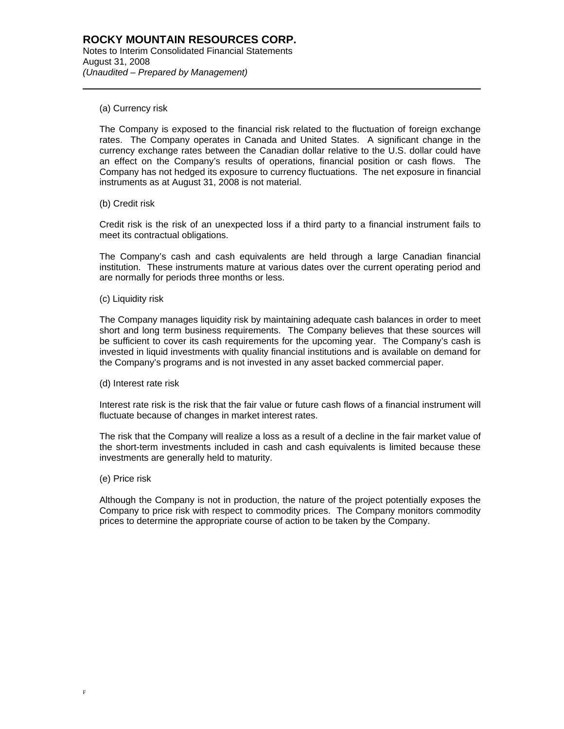### (a) Currency risk

l

The Company is exposed to the financial risk related to the fluctuation of foreign exchange rates. The Company operates in Canada and United States. A significant change in the currency exchange rates between the Canadian dollar relative to the U.S. dollar could have an effect on the Company's results of operations, financial position or cash flows. The Company has not hedged its exposure to currency fluctuations. The net exposure in financial instruments as at August 31, 2008 is not material.

(b) Credit risk

Credit risk is the risk of an unexpected loss if a third party to a financial instrument fails to meet its contractual obligations.

The Company's cash and cash equivalents are held through a large Canadian financial institution. These instruments mature at various dates over the current operating period and are normally for periods three months or less.

(c) Liquidity risk

The Company manages liquidity risk by maintaining adequate cash balances in order to meet short and long term business requirements. The Company believes that these sources will be sufficient to cover its cash requirements for the upcoming year. The Company's cash is invested in liquid investments with quality financial institutions and is available on demand for the Company's programs and is not invested in any asset backed commercial paper.

(d) Interest rate risk

Interest rate risk is the risk that the fair value or future cash flows of a financial instrument will fluctuate because of changes in market interest rates.

The risk that the Company will realize a loss as a result of a decline in the fair market value of the short-term investments included in cash and cash equivalents is limited because these investments are generally held to maturity.

(e) Price risk

Although the Company is not in production, the nature of the project potentially exposes the Company to price risk with respect to commodity prices. The Company monitors commodity prices to determine the appropriate course of action to be taken by the Company.